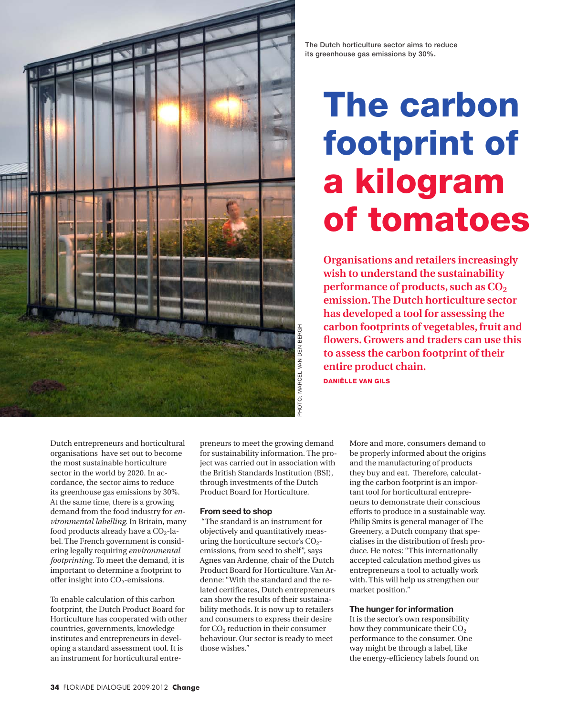

The Dutch horticulture sector aims to reduce its greenhouse gas emissions by 30%.

# The carbon footprint of a kilogram of tomatoes

**Organisations and retailers increasingly wish to understand the sustainability performance of products, such as CO<sub>2</sub> emission. The Dutch horticulture sector has developed a tool for assessing the carbon footprints of vegetables, fruit and flowers. Growers and traders can use this to assess the carbon footprint of their entire product chain.**  Daniëlle van Gils

Dutch entrepreneurs and horticultural organisations have set out to become the most sustainable horticulture sector in the world by 2020. In accordance, the sector aims to reduce its greenhouse gas emissions by 30%. At the same time, there is a growing demand from the food industry for *environmental labelling*. In Britain, many food products already have a  $CO<sub>2</sub>$ -label. The French government is considering legally requiring *environmental footprinting*. To meet the demand, it is important to determine a footprint to offer insight into  $CO<sub>2</sub>$ -emissions.

To enable calculation of this carbon footprint, the Dutch Product Board for Horticulture has cooperated with other countries, governments, knowledge institutes and entrepreneurs in developing a standard assessment tool. It is an instrument for horticultural entrepreneurs to meet the growing demand for sustainability information. The project was carried out in association with the British Standards Institution (BSI), through investments of the Dutch Product Board for Horticulture.

#### **From seed to shop**

 "The standard is an instrument for objectively and quantitatively measuring the horticulture sector's  $CO<sub>2</sub>$ emissions, from seed to shelf", says Agnes van Ardenne, chair of the Dutch Product Board for Horticulture. Van Ardenne: "With the standard and the related certificates, Dutch entrepreneurs can show the results of their sustainability methods. It is now up to retailers and consumers to express their desire for CO<sub>2</sub> reduction in their consumer behaviour. Our sector is ready to meet those wishes."

More and more, consumers demand to be properly informed about the origins and the manufacturing of products they buy and eat. Therefore, calculating the carbon footprint is an important tool for horticultural entrepreneurs to demonstrate their conscious efforts to produce in a sustainable way. Philip Smits is general manager of The Greenery, a Dutch company that specialises in the distribution of fresh produce. He notes: "This internationally accepted calculation method gives us entrepreneurs a tool to actually work with. This will help us strengthen our market position."

### **The hunger for information**

It is the sector's own responsibility how they communicate their CO<sub>2</sub> performance to the consumer. One way might be through a label, like the energy-efficiency labels found on